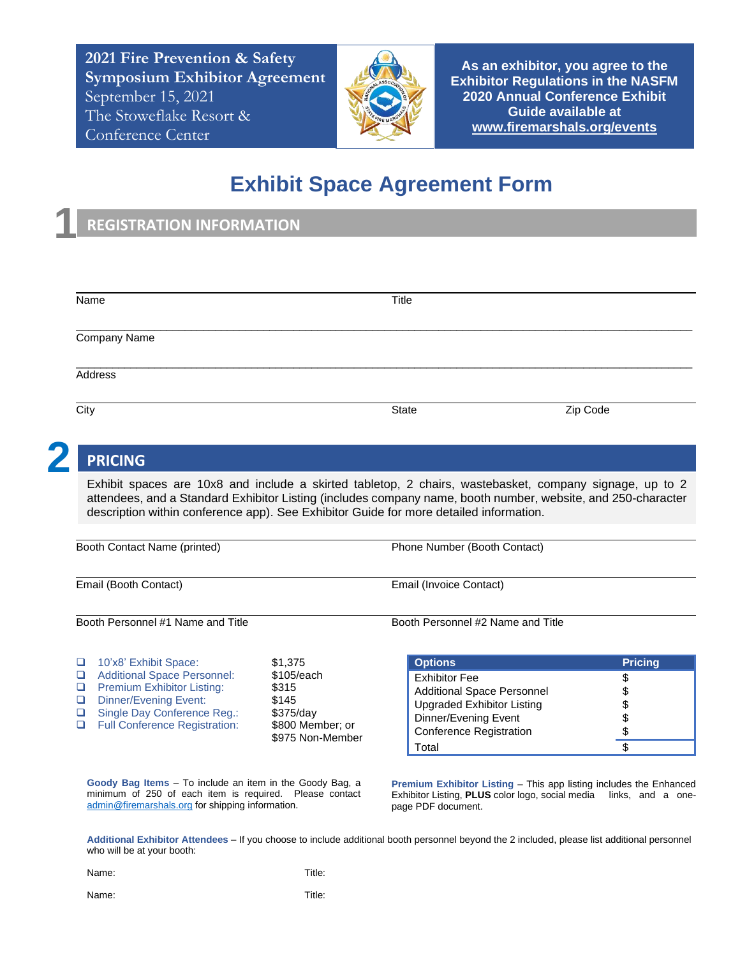**2021 Fire Prevention & Safety Symposium Exhibitor Agreement** September 15, 2021 The Stoweflake Resort & Conference Center



**As an exhibitor, you agree to the Exhibitor Regulations in the NASFM 2020 Annual Conference Exhibit Guide available at [www.firemarshals.org/events](http://www.firemarshals.org/events)**

## **Exhibit Space Agreement Form**

## **REGISTRATION INFORMATION**

| Name           | Title |          |
|----------------|-------|----------|
| Company Name   |       |          |
| Address        |       |          |
| City           | State | Zip Code |
| <b>PRICING</b> |       |          |

## **PRICING**

**1**

Exhibit spaces are 10x8 and include a skirted tabletop, 2 chairs, wastebasket, company signage, up to 2 attendees, and a Standard Exhibitor Listing (includes company name, booth number, website, and 250-character description within conference app). See Exhibitor Guide for more detailed information.

Booth Contact Name (printed) Phone Number (Booth Contact)

Email (Booth Contact) Email (Invoice Contact)

Booth Personnel #1 Name and Title Booth Personnel #2 Name and Title

| $\Box$ | 10'x8' Exhibit Space:                | \$1,375          |
|--------|--------------------------------------|------------------|
| □      | <b>Additional Space Personnel:</b>   | \$105/each       |
| □      | <b>Premium Exhibitor Listing:</b>    | \$315            |
| □      | <b>Dinner/Evening Event:</b>         | \$145            |
| □      | Single Day Conference Reg.:          | \$375/day        |
| $\Box$ | <b>Full Conference Registration:</b> | \$800 Member; or |
|        |                                      | \$975 Non-Member |

**Goody Bag Items** – To include an item in the Goody Bag, a minimum of 250 of each item is required. Please contact [admin@firemarshals.org](mailto:admin@firemarshals.org) for shipping information.

**Premium Exhibitor Listing** – This app listing includes the Enhanced Exhibitor Listing, **PLUS** color logo, social media links, and a onepage PDF document.

**Options Pricing** Exhibitor Fee \$ Additional Space Personnel \$ Upgraded Exhibitor Listing \$ Dinner/Evening Event \$ Conference Registration \$  $\overline{\text{Total}}$ 

**Additional Exhibitor Attendees** – If you choose to include additional booth personnel beyond the 2 included, please list additional personnel who will be at your booth:

Name: Title:

Name: Title: